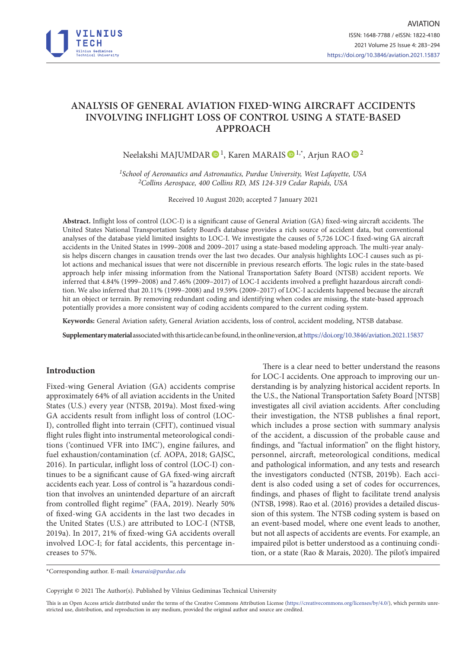

# **ANALYSIS OF GENERAL AVIATION FIXED-WING AIRCRAFT ACCIDENTS INVOLVING INFLIGHT LOSS OF CONTROL USING A STATE-BASED APPROACH**

Neelakshi MAJUMDAR  $\mathbf{D}^1$  $\mathbf{D}^1$ , Karen MARAIS  $\mathbf{D}^{1,*}$ , Arjun RAO  $\mathbf{D}^2$ 

*1School of Aeronautics and Astronautics, Purdue University, West Lafayette, USA 2Collins Aerospace, 400 Collins RD, MS 124-319 Cedar Rapids, USA*

Received 10 August 2020; accepted 7 January 2021

**Abstract.** Inflight loss of control (LOC-I) is a significant cause of General Aviation (GA) fixed-wing aircraft accidents. The United States National Transportation Safety Board's database provides a rich source of accident data, but conventional analyses of the database yield limited insights to LOC-I. We investigate the causes of 5,726 LOC-I fixed-wing GA aircraft accidents in the United States in 1999–2008 and 2009–2017 using a state-based modeling approach. The multi-year analysis helps discern changes in causation trends over the last two decades. Our analysis highlights LOC-I causes such as pilot actions and mechanical issues that were not discernible in previous research efforts. The logic rules in the state-based approach help infer missing information from the National Transportation Safety Board (NTSB) accident reports. We inferred that 4.84% (1999–2008) and 7.46% (2009–2017) of LOC-I accidents involved a preflight hazardous aircraft condition. We also inferred that 20.11% (1999–2008) and 19.59% (2009–2017) of LOC-I accidents happened because the aircraft hit an object or terrain. By removing redundant coding and identifying when codes are missing, the state-based approach potentially provides a more consistent way of coding accidents compared to the current coding system.

**Keywords:** General Aviation safety, General Aviation accidents, loss of control, accident modeling, NTSB database.

**Supplementary material** associated with this article can be found, in the online version, at<https://doi.org/10.3846/aviation.2021.15837>

### **Introduction**

Fixed-wing General Aviation (GA) accidents comprise approximately 64% of all aviation accidents in the United States (U.S.) every year (NTSB, 2019a). Most fixed-wing GA accidents result from inflight loss of control (LOC-I), controlled flight into terrain (CFIT), continued visual flight rules flight into instrumental meteorological conditions ('continued VFR into IMC'), engine failures, and fuel exhaustion/contamination (cf. AOPA, 2018; GAJSC, 2016). In particular, inflight loss of control (LOC-I) continues to be a significant cause of GA fixed-wing aircraft accidents each year. Loss of control is "a hazardous condition that involves an unintended departure of an aircraft from controlled flight regime" (FAA, 2019). Nearly 50% of fixed-wing GA accidents in the last two decades in the United States (U.S.) are attributed to LOC-I (NTSB, 2019a). In 2017, 21% of fixed-wing GA accidents overall involved LOC-I; for fatal accidents, this percentage increases to 57%.

There is a clear need to better understand the reasons for LOC-I accidents. One approach to improving our understanding is by analyzing historical accident reports. In the U.S., the National Transportation Safety Board [NTSB] investigates all civil aviation accidents. After concluding their investigation, the NTSB publishes a final report, which includes a prose section with summary analysis of the accident, a discussion of the probable cause and findings, and "factual information" on the flight history, personnel, aircraft, meteorological conditions, medical and pathological information, and any tests and research the investigators conducted (NTSB, 2019b). Each accident is also coded using a set of codes for occurrences, findings, and phases of flight to facilitate trend analysis (NTSB, 1998). Rao et al. (2016) provides a detailed discussion of this system. The NTSB coding system is based on an event-based model, where one event leads to another, but not all aspects of accidents are events. For example, an impaired pilot is better understood as a continuing condition, or a state (Rao & Marais, 2020). The pilot's impaired

\*Corresponding author. E-mail: *kmarais@purdue.edu*

Copyright © 2021 The Author(s). Published by Vilnius Gediminas Technical University

This is an Open Access article distributed under the terms of the Creative Commons Attribution License [\(https://creativecommons.org/licenses/by/4.0/\)](http://creativecommons.org/licenses/by/4.0/), which permits unrestricted use, distribution, and reproduction in any medium, provided the original author and source are credited.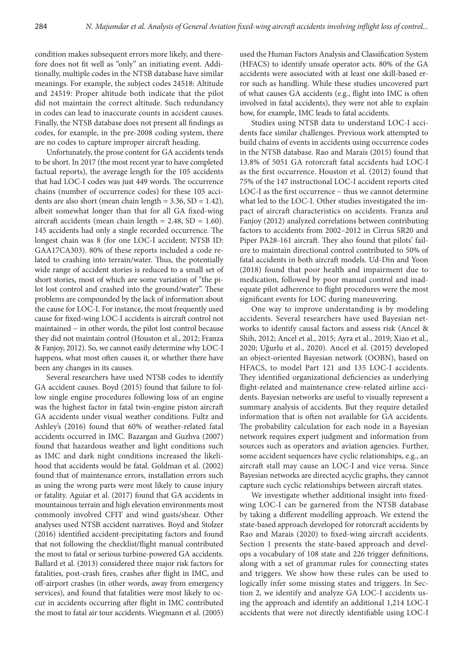condition makes subsequent errors more likely, and therefore does not fit well as "only" an initiating event. Additionally, multiple codes in the NTSB database have similar meanings. For example, the subject codes 24518: Altitude and 24519: Proper altitude both indicate that the pilot did not maintain the correct altitude. Such redundancy in codes can lead to inaccurate counts in accident causes. Finally, the NTSB database does not present all findings as codes, for example, in the pre-2008 coding system, there are no codes to capture improper aircraft heading.

Unfortunately, the prose content for GA accidents tends to be short. In 2017 (the most recent year to have completed factual reports), the average length for the 105 accidents that had LOC-I codes was just 449 words. The occurrence chains (number of occurrence codes) for these 105 accidents are also short (mean chain length =  $3.36$ , SD =  $1.42$ ), albeit somewhat longer than that for all GA fixed-wing aircraft accidents (mean chain length =  $2.48$ , SD =  $1.60$ ). 145 accidents had only a single recorded occurrence. The longest chain was 8 (for one LOC-I accident; NTSB ID: GAA17CA303). 80% of these reports included a code related to crashing into terrain/water. Thus, the potentially wide range of accident stories is reduced to a small set of short stories, most of which are some variation of "the pilot lost control and crashed into the ground/water". These problems are compounded by the lack of information about the cause for LOC-I. For instance, the most frequently used cause for fixed-wing LOC-I accidents is aircraft control not maintained - in other words, the pilot lost control because they did not maintain control (Houston et al., 2012; Franza & Fanjoy, 2012). So, we cannot easily determine why LOC-I happens, what most often causes it, or whether there have been any changes in its causes.

Several researchers have used NTSB codes to identify GA accident causes. Boyd (2015) found that failure to follow single engine procedures following loss of an engine was the highest factor in fatal twin-engine piston aircraft GA accidents under visual weather conditions. Fultz and Ashley's (2016) found that 60% of weather-related fatal accidents occurred in IMC. Bazargan and Guzhva (2007) found that hazardous weather and light conditions such as IMC and dark night conditions increased the likelihood that accidents would be fatal. Goldman et al. (2002) found that of maintenance errors, installation errors such as using the wrong parts were most likely to cause injury or fatality. Aguiar et al. (2017) found that GA accidents in mountainous terrain and high elevation environments most commonly involved CFIT and wind gusts/shear. Other analyses used NTSB accident narratives. Boyd and Stolzer (2016) identified accident-precipitating factors and found that not following the checklist/flight manual contributed the most to fatal or serious turbine-powered GA accidents. Ballard et al. (2013) considered three major risk factors for fatalities, post-crash fires, crashes after flight in IMC, and off-airport crashes (in other words, away from emergency services), and found that fatalities were most likely to occur in accidents occurring after flight in IMC contributed the most to fatal air tour accidents. Wiegmann et al. (2005)

used the Human Factors Analysis and Classification System (HFACS) to identify unsafe operator acts. 80% of the GA accidents were associated with at least one skill-based error such as handling. While these studies uncovered part of what causes GA accidents (e.g., flight into IMC is often involved in fatal accidents), they were not able to explain how, for example, IMC leads to fatal accidents.

Studies using NTSB data to understand LOC-I accidents face similar challenges. Previous work attempted to build chains of events in accidents using occurrence codes in the NTSB database. Rao and Marais (2015) found that 13.8% of 5051 GA rotorcraft fatal accidents had LOC-I as the first occurrence. Houston et al. (2012) found that 75% of the 147 instructional LOC-I accident reports cited LOC-I as the first occurrence - thus we cannot determine what led to the LOC-I. Other studies investigated the impact of aircraft characteristics on accidents. Franza and Fanjoy (2012) analyzed correlations between contributing factors to accidents from 2002–2012 in Cirrus SR20 and Piper PA28-161 aircraft. They also found that pilots' failure to maintain directional control contributed to 50% of fatal accidents in both aircraft models. Ud-Din and Yoon (2018) found that poor health and impairment due to medication, followed by poor manual control and inadequate pilot adherence to flight procedures were the most significant events for LOC during maneuvering.

One way to improve understanding is by modeling accidents. Several researchers have used Bayesian networks to identify causal factors and assess risk (Ancel & Shih, 2012; Ancel et al., 2015; Ayra et al., 2019; Xiao et al., 2020; Uğurlu et al., 2020). Ancel et al. (2015) developed an object-oriented Bayesian network (OOBN), based on HFACS, to model Part 121 and 135 LOC-I accidents. They identified organizational deficiencies as underlying flight-related and maintenance crew-related airline accidents. Bayesian networks are useful to visually represent a summary analysis of accidents. But they require detailed information that is often not available for GA accidents. The probability calculation for each node in a Bayesian network requires expert judgment and information from sources such as operators and aviation agencies. Further, some accident sequences have cyclic relationships, e.g., an aircraft stall may cause an LOC-I and vice versa. Since Bayesian networks are directed acyclic graphs, they cannot capture such cyclic relationships between aircraft states.

We investigate whether additional insight into fixedwing LOC-I can be garnered from the NTSB database by taking a different modelling approach. We extend the state-based approach developed for rotorcraft accidents by Rao and Marais (2020) to fixed-wing aircraft accidents. Section 1 presents the state-based approach and develops a vocabulary of 108 state and 226 trigger definitions, along with a set of grammar rules for connecting states and triggers. We show how these rules can be used to logically infer some missing states and triggers. In Section 2, we identify and analyze GA LOC-I accidents using the approach and identify an additional 1,214 LOC-I accidents that were not directly identifiable using LOC-I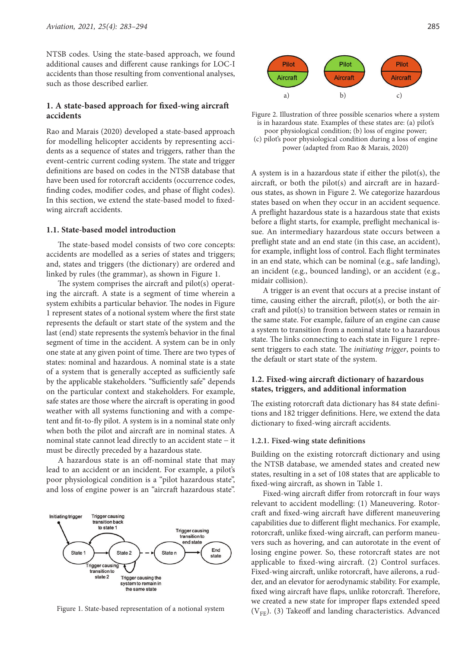NTSB codes. Using the state-based approach, we found additional causes and different cause rankings for LOC-I accidents than those resulting from conventional analyses, such as those described earlier.

# 1. A state-based approach for fixed-wing aircraft **accidents**

Rao and Marais (2020) developed a state-based approach for modelling helicopter accidents by representing accidents as a sequence of states and triggers, rather than the event-centric current coding system. The state and trigger definitions are based on codes in the NTSB database that have been used for rotorcraft accidents (occurrence codes, finding codes, modifier codes, and phase of flight codes). In this section, we extend the state-based model to fixedwing aircraft accidents.

### **1.1. State-based model introduction**

The state-based model consists of two core concepts: accidents are modelled as a series of states and triggers; and, states and triggers (the dictionary) are ordered and linked by rules (the grammar), as shown in Figure 1.

The system comprises the aircraft and  $pilot(s)$  operating the aircraft. A state is a segment of time wherein a system exhibits a particular behavior. The nodes in Figure 1 represent states of a notional system where the first state represents the default or start state of the system and the last (end) state represents the system's behavior in the final segment of time in the accident. A system can be in only one state at any given point of time. There are two types of states: nominal and hazardous. A nominal state is a state of a system that is generally accepted as sufficiently safe by the applicable stakeholders. "Sufficiently safe" depends on the particular context and stakeholders. For example, safe states are those where the aircraft is operating in good weather with all systems functioning and with a competent and fit-to-fly pilot. A system is in a nominal state only when both the pilot and aircraft are in nominal states. A nominal state cannot lead directly to an accident state - it must be directly preceded by a hazardous state.

A hazardous state is an off-nominal state that may lead to an accident or an incident. For example, a pilot's poor physiological condition is a "pilot hazardous state", and loss of engine power is an "aircraft hazardous state".





Figure 2. Illustration of three possible scenarios where a system is in hazardous state. Examples of these states are: (a) pilot's poor physiological condition; (b) loss of engine power; (c) pilot's poor physiological condition during a loss of engine power (adapted from Rao & Marais, 2020)

A system is in a hazardous state if either the pilot(s), the aircraft, or both the pilot(s) and aircraft are in hazardous states, as shown in Figure 2. We categorize hazardous states based on when they occur in an accident sequence. A preflight hazardous state is a hazardous state that exists before a flight starts, for example, preflight mechanical issue. An intermediary hazardous state occurs between a preflight state and an end state (in this case, an accident), for example, inflight loss of control. Each flight terminates in an end state, which can be nominal (e.g., safe landing), an incident (e.g., bounced landing), or an accident (e.g., midair collision).

A trigger is an event that occurs at a precise instant of time, causing either the aircraft,  $pilot(s)$ , or both the aircraft and pilot(s) to transition between states or remain in the same state. For example, failure of an engine can cause a system to transition from a nominal state to a hazardous state. The links connecting to each state in Figure 1 represent triggers to each state. The *initiating trigger*, points to the default or start state of the system.

### **1.2. Fixed-wing aircraft dictionary of hazardous states, triggers, and additional information**

The existing rotorcraft data dictionary has 84 state definitions and 182 trigger definitions. Here, we extend the data dictionary to fixed-wing aircraft accidents.

### **1.2.1. Fixed-wing state definitions**

Building on the existing rotorcraft dictionary and using the NTSB database, we amended states and created new states, resulting in a set of 108 states that are applicable to fixed-wing aircraft, as shown in Table 1.

Fixed-wing aircraft differ from rotorcraft in four ways relevant to accident modelling: (1) Maneuvering. Rotorcraft and fixed-wing aircraft have different maneuvering capabilities due to different flight mechanics. For example, rotorcraft, unlike fixed-wing aircraft, can perform maneuvers such as hovering, and can autorotate in the event of losing engine power. So, these rotorcraft states are not applicable to fixed-wing aircraft. (2) Control surfaces. Fixed-wing aircraft, unlike rotorcraft, have ailerons, a rudder, and an elevator for aerodynamic stability. For example, fixed wing aircraft have flaps, unlike rotorcraft. Therefore, we created a new state for improper flaps extended speed Figure 1. State-based representation of a notional system  $(V_{FF})$ . (3) Takeoff and landing characteristics. Advanced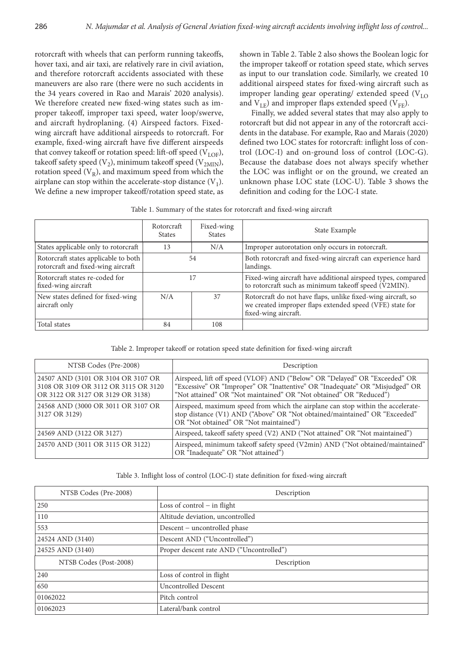rotorcraft with wheels that can perform running takeoffs, hover taxi, and air taxi, are relatively rare in civil aviation, and therefore rotorcraft accidents associated with these maneuvers are also rare (there were no such accidents in the 34 years covered in Rao and Marais' 2020 analysis). We therefore created new fixed-wing states such as improper takeoff, improper taxi speed, water loop/swerve, and aircraft hydroplaning. (4) Airspeed factors. Fixedwing aircraft have additional airspeeds to rotorcraft. For example, fixed-wing aircraft have five different airspeeds that convey takeoff or rotation speed: lift-off speed  $(V<sub>LOE</sub>)$ , takeoff safety speed  $(V_2)$ , minimum takeoff speed  $(V_{2MIN})$ , rotation speed  $(V_R)$ , and maximum speed from which the airplane can stop within the accelerate-stop distance  $(V_1)$ . We define a new improper takeoff/rotation speed state, as

shown in Table 2. Table 2 also shows the Boolean logic for the improper takeoff or rotation speed state, which serves as input to our translation code. Similarly, we created 10 additional airspeed states for fixed-wing aircraft such as improper landing gear operating/ extended speed  $(V<sub>LO</sub>)$ and  $V_{LE}$ ) and improper flaps extended speed (V<sub>FE</sub>).

Finally, we added several states that may also apply to rotorcraft but did not appear in any of the rotorcraft accidents in the database. For example, Rao and Marais (2020) defined two LOC states for rotorcraft: inflight loss of control (LOC-I) and on-ground loss of control (LOC-G). Because the database does not always specify whether the LOC was inflight or on the ground, we created an unknown phase LOC state (LOC-U). Table 3 shows the definition and coding for the LOC-I state.

|  |  |  | Table 1. Summary of the states for rotorcraft and fixed-wing aircraft |
|--|--|--|-----------------------------------------------------------------------|
|--|--|--|-----------------------------------------------------------------------|

|                                                                            | Rotorcraft<br><b>States</b> | Fixed-wing<br><b>States</b>                             | State Example                                                                                                                                    |  |
|----------------------------------------------------------------------------|-----------------------------|---------------------------------------------------------|--------------------------------------------------------------------------------------------------------------------------------------------------|--|
| States applicable only to rotorcraft                                       | 13                          | Improper autorotation only occurs in rotorcraft.<br>N/A |                                                                                                                                                  |  |
| Rotorcraft states applicable to both<br>rotorcraft and fixed-wing aircraft | 54                          |                                                         | Both rotorcraft and fixed-wing aircraft can experience hard<br>landings.                                                                         |  |
| Rotorcraft states re-coded for<br>fixed-wing aircraft                      | 17                          |                                                         | Fixed-wing aircraft have additional airspeed types, compared<br>to rotorcraft such as minimum takeoff speed (V2MIN).                             |  |
| New states defined for fixed-wing<br>aircraft only                         | N/A<br>37                   |                                                         | Rotorcraft do not have flaps, unlike fixed-wing aircraft, so<br>we created improper flaps extended speed (VFE) state for<br>fixed-wing aircraft. |  |
| Total states                                                               | 84                          | 108                                                     |                                                                                                                                                  |  |

Table 2. Improper takeoff or rotation speed state definition for fixed-wing aircraft

| NTSB Codes (Pre-2008)                                                                                          | Description                                                                                                                                                                                                                      |
|----------------------------------------------------------------------------------------------------------------|----------------------------------------------------------------------------------------------------------------------------------------------------------------------------------------------------------------------------------|
| 24507 AND (3101 OR 3104 OR 3107 OR<br>3108 OR 3109 OR 3112 OR 3115 OR 3120<br>OR 3122 OR 3127 OR 3129 OR 3138) | Airspeed, lift off speed (VLOF) AND ("Below" OR "Delayed" OR "Exceeded" OR<br>"Excessive" OR "Improper" OR "Inattentive" OR "Inadequate" OR "Misjudged" OR<br>"Not attained" OR "Not maintained" OR "Not obtained" OR "Reduced") |
| 24568 AND (3000 OR 3011 OR 3107 OR<br>3127 OR 3129)                                                            | Airspeed, maximum speed from which the airplane can stop within the accelerate-<br>stop distance (V1) AND ("Above" OR "Not obtained/maintained" OR "Exceeded"<br>OR "Not obtained" OR "Not maintained")                          |
| 24569 AND (3122 OR 3127)                                                                                       | Airspeed, takeoff safety speed (V2) AND ("Not attained" OR "Not maintained")                                                                                                                                                     |
| 24570 AND (3011 OR 3115 OR 3122)                                                                               | Airspeed, minimum takeoff safety speed (V2min) AND ("Not obtained/maintained"  <br>OR "Inadequate" OR "Not attained")                                                                                                            |

#### Table 3. Inflight loss of control (LOC-I) state definition for fixed-wing aircraft

| NTSB Codes (Pre-2008)  | Description                              |
|------------------------|------------------------------------------|
| 250                    | Loss of control $-$ in flight            |
| 110                    | Altitude deviation, uncontrolled         |
| 553                    | Descent – uncontrolled phase             |
| 24524 AND (3140)       | Descent AND ("Uncontrolled")             |
| 24525 AND (3140)       | Proper descent rate AND ("Uncontrolled") |
| NTSB Codes (Post-2008) | Description                              |
| 240                    | Loss of control in flight                |
| 650                    | <b>Uncontrolled Descent</b>              |
| 01062022               | Pitch control                            |
| 01062023               | Lateral/bank control                     |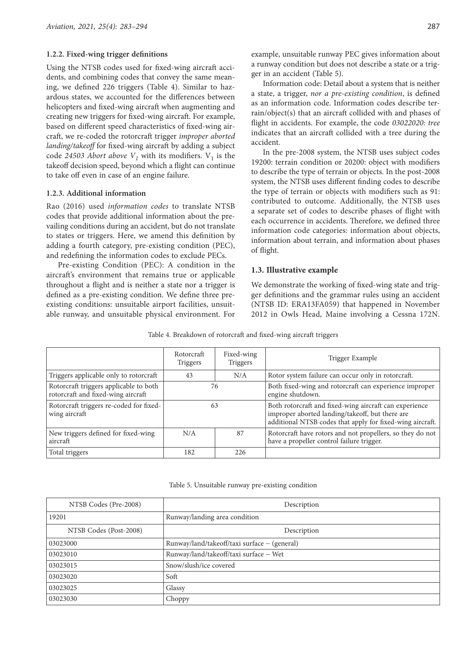#### **1.2.2. Fixed-wing trigger definitions**

Using the NTSB codes used for fixed-wing aircraft accidents, and combining codes that convey the same meaning, we defined 226 triggers (Table 4). Similar to hazardous states, we accounted for the differences between helicopters and fixed-wing aircraft when augmenting and creating new triggers for fixed-wing aircraft. For example, based on different speed characteristics of fixed-wing aircraft, we re-coded the rotorcraft trigger *improper aborted landing/takeoff* for fixed-wing aircraft by adding a subject code 24503 Abort above  $V_1$  with its modifiers.  $V_1$  is the takeoff decision speed, beyond which a flight can continue to take off even in case of an engine failure.

### **1.2.3. Additional information**

Rao (2016) used *information codes* to translate NTSB codes that provide additional information about the prevailing conditions during an accident, but do not translate to states or triggers. Here, we amend this definition by adding a fourth category, pre-existing condition (PEC), and redefining the information codes to exclude PECs.

Pre-existing Condition (PEC): A condition in the aircraft's environment that remains true or applicable throughout a flight and is neither a state nor a trigger is defined as a pre-existing condition. We define three preexisting conditions: unsuitable airport facilities, unsuitable runway, and unsuitable physical environment. For example, unsuitable runway PEC gives information about a runway condition but does not describe a state or a trigger in an accident (Table 5).

Information code: Detail about a system that is neither a state, a trigger, *nor a pre-existing condition*, is defined as an information code. Information codes describe terrain/object(s) that an aircraft collided with and phases of flight in accidents. For example, the code *03022020: tree* indicates that an aircraft collided with a tree during the accident.

In the pre-2008 system, the NTSB uses subject codes 19200: terrain condition or 20200: object with modifiers to describe the type of terrain or objects. In the post-2008 system, the NTSB uses different finding codes to describe the type of terrain or objects with modifiers such as 91: contributed to outcome. Additionally, the NTSB uses a separate set of codes to describe phases of flight with each occurrence in accidents. Therefore, we defined three information code categories: information about objects, information about terrain, and information about phases of flight.

# **1.3. Illustrative example**

We demonstrate the working of fixed-wing state and trigger definitions and the grammar rules using an accident (NTSB ID: ERA13FA059) that happened in November 2012 in Owls Head, Maine involving a Cessna 172N.

|                                                                              | Rotorcraft<br><b>Triggers</b> | Fixed-wing<br>Triggers | Trigger Example                                                                                                                                                        |
|------------------------------------------------------------------------------|-------------------------------|------------------------|------------------------------------------------------------------------------------------------------------------------------------------------------------------------|
| Triggers applicable only to rotorcraft                                       | 43                            | N/A                    | Rotor system failure can occur only in rotorcraft.                                                                                                                     |
| Rotorcraft triggers applicable to both<br>rotorcraft and fixed-wing aircraft | 76                            |                        | Both fixed-wing and rotorcraft can experience improper<br>engine shutdown.                                                                                             |
| Rotorcraft triggers re-coded for fixed-<br>wing aircraft                     | 63                            |                        | Both rotorcraft and fixed-wing aircraft can experience<br>improper aborted landing/takeoff, but there are<br>additional NTSB codes that apply for fixed-wing aircraft. |
| New triggers defined for fixed-wing<br>aircraft                              | N/A                           | 87                     | Rotorcraft have rotors and not propellers, so they do not<br>have a propeller control failure trigger.                                                                 |
| Total triggers                                                               | 182                           | 226                    |                                                                                                                                                                        |

Table 4. Breakdown of rotorcraft and fixed-wing aircraft triggers

Table 5. Unsuitable runway pre-existing condition

| NTSB Codes (Pre-2008)  | Description                                  |
|------------------------|----------------------------------------------|
| 19201                  | Runway/landing area condition                |
| NTSB Codes (Post-2008) | Description                                  |
| 03023000               | Runway/land/takeoff/taxi surface – (general) |
| 03023010               | Runway/land/takeoff/taxi surface - Wet       |
| 03023015               | Snow/slush/ice covered                       |
| 03023020               | Soft                                         |
| 03023025               | Glassy                                       |
| 03023030               | Choppy                                       |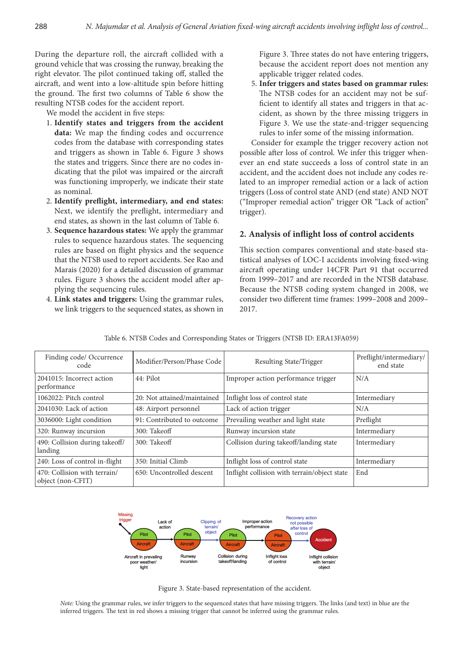During the departure roll, the aircraft collided with a ground vehicle that was crossing the runway, breaking the right elevator. The pilot continued taking off, stalled the aircraft, and went into a low-altitude spin before hitting the ground. The first two columns of Table 6 show the resulting NTSB codes for the accident report.

We model the accident in five steps:

- 1. **Identify states and triggers from the accident**  data: We map the finding codes and occurrence codes from the database with corresponding states and triggers as shown in Table 6. Figure 3 shows the states and triggers. Since there are no codes indicating that the pilot was impaired or the aircraft was functioning improperly, we indicate their state as nominal.
- 2. Identify preflight, intermediary, and end states: Next, we identify the preflight, intermediary and end states, as shown in the last column of Table 6.
- 3. **Sequence hazardous states:** We apply the grammar rules to sequence hazardous states. The sequencing rules are based on flight physics and the sequence that the NTSB used to report accidents. See Rao and Marais (2020) for a detailed discussion of grammar rules. Figure 3 shows the accident model after applying the sequencing rules.
- 4. **Link states and triggers:** Using the grammar rules, we link triggers to the sequenced states, as shown in

Figure 3. Three states do not have entering triggers, because the accident report does not mention any applicable trigger related codes.

5. **Infer triggers and states based on grammar rules:**  The NTSB codes for an accident may not be sufficient to identify all states and triggers in that accident, as shown by the three missing triggers in Figure 3. We use the state-and-trigger sequencing rules to infer some of the missing information.

Consider for example the trigger recovery action not possible after loss of control. We infer this trigger whenever an end state succeeds a loss of control state in an accident, and the accident does not include any codes related to an improper remedial action or a lack of action triggers (Loss of control state AND (end state) AND NOT ("Improper remedial action" trigger OR "Lack of action" trigger).

# 2. Analysis of inflight loss of control accidents

This section compares conventional and state-based statistical analyses of LOC-I accidents involving fixed-wing aircraft operating under 14CFR Part 91 that occurred from 1999–2017 and are recorded in the NTSB database. Because the NTSB coding system changed in 2008, we consider two different time frames: 1999-2008 and 2009-2017.

| Finding code/ Occurrence<br>code                  | Modifier/Person/Phase Code  | Resulting State/Trigger                      | Preflight/intermediary/<br>end state |
|---------------------------------------------------|-----------------------------|----------------------------------------------|--------------------------------------|
| 2041015: Incorrect action<br>performance          | 44: Pilot                   | Improper action performance trigger          | N/A                                  |
| 1062022: Pitch control                            | 20: Not attained/maintained | Inflight loss of control state               | Intermediary                         |
| 2041030: Lack of action                           | 48: Airport personnel       | Lack of action trigger                       | N/A                                  |
| 3036000: Light condition                          | 91: Contributed to outcome  | Prevailing weather and light state           | Preflight                            |
| 320: Runway incursion                             | 300: Takeoff                | Runway incursion state                       | Intermediary                         |
| 490: Collision during takeoff/<br>landing         | 300: Takeoff                | Collision during takeoff/landing state       | Intermediary                         |
| 240: Loss of control in-flight                    | 350: Initial Climb          | Inflight loss of control state               | Intermediary                         |
| 470: Collision with terrain/<br>object (non-CFIT) | 650: Uncontrolled descent   | Inflight collision with terrain/object state | End                                  |

|  |  | Table 6. NTSB Codes and Corresponding States or Triggers (NTSB ID: ERA13FA059) |
|--|--|--------------------------------------------------------------------------------|
|--|--|--------------------------------------------------------------------------------|



Figure 3. State-based representation of the accident.

Note: Using the grammar rules, we infer triggers to the sequenced states that have missing triggers. The links (and text) in blue are the inferred triggers. The text in red shows a missing trigger that cannot be inferred using the grammar rules.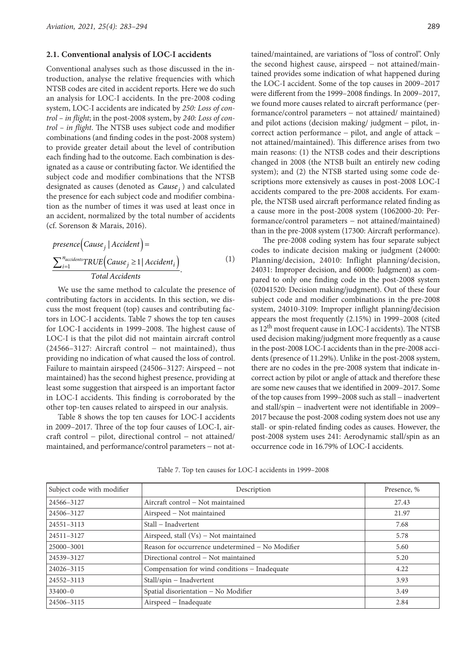#### **2.1. Conventional analysis of LOC-I accidents**

Conventional analyses such as those discussed in the introduction, analyse the relative frequencies with which NTSB codes are cited in accident reports. Here we do such an analysis for LOC-I accidents. In the pre-2008 coding system, LOC-I accidents are indicated by *250: Loss of control – in flight*; in the post-2008 system, by *240: Loss of control – in flight*. The NTSB uses subject code and modifier combinations (and finding codes in the post-2008 system) to provide greater detail about the level of contribution each finding had to the outcome. Each combination is designated as a cause or contributing factor. We identified the subject code and modifier combinations that the NTSB designated as causes (denoted as *Cause <sup>j</sup>* ) and calculated the presence for each subject code and modifier combination as the number of times it was used at least once in an accident, normalized by the total number of accidents (cf. Sorenson & Marais, 2016).

$$
presence(Cause_j | Accident) =
$$
  
\n
$$
\frac{\sum_{i=1}^{n_{accidents}} TRUE(Cause_j \ge 1 | Accident_i)}{Total Accidents}.
$$
 (1)

We use the same method to calculate the presence of contributing factors in accidents. In this section, we discuss the most frequent (top) causes and contributing factors in LOC-I accidents. Table 7 shows the top ten causes for LOC-I accidents in 1999–2008. The highest cause of LOC-I is that the pilot did not maintain aircraft control  $(24566-3127:$  Aircraft control - not maintained), thus providing no indication of what caused the loss of control. Failure to maintain airspeed (24506–3127: Airspeed – not maintained) has the second highest presence, providing at least some suggestion that airspeed is an important factor in LOC-I accidents. This finding is corroborated by the other top-ten causes related to airspeed in our analysis.

Table 8 shows the top ten causes for LOC-I accidents in 2009–2017. Three of the top four causes of LOC-I, aircraft control - pilot, directional control - not attained/ maintained, and performance/control parameters - not attained/maintained, are variations of "loss of control". Only the second highest cause, airspeed  $-$  not attained/maintained provides some indication of what happened during the LOC-I accident. Some of the top causes in 2009–2017 were different from the 1999–2008 findings. In 2009–2017, we found more causes related to aircraft performance (performance/control parameters - not attained/ maintained) and pilot actions (decision making/ judgment - pilot, incorrect action performance - pilot, and angle of attack not attained/maintained). This difference arises from two main reasons: (1) the NTSB codes and their descriptions changed in 2008 (the NTSB built an entirely new coding system); and (2) the NTSB started using some code descriptions more extensively as causes in post-2008 LOC-I accidents compared to the pre-2008 accidents. For example, the NTSB used aircraft performance related finding as a cause more in the post-2008 system (1062000-20: Performance/control parameters - not attained/maintained) than in the pre-2008 system (17300: Aircraft performance).

The pre-2008 coding system has four separate subject codes to indicate decision making or judgment (24000: Planning/decision, 24010: Inflight planning/decision, 24031: Improper decision, and 60000: Judgment) as compared to only one finding code in the post-2008 system (02041520: Decision making/judgment). Out of these four subject code and modifier combinations in the pre-2008 system, 24010-3109: Improper inflight planning/decision appears the most frequently (2.15%) in 1999–2008 (cited as 12th most frequent cause in LOC-I accidents). The NTSB used decision making/judgment more frequently as a cause in the post-2008 LOC-I accidents than in the pre-2008 accidents (presence of 11.29%). Unlike in the post-2008 system, there are no codes in the pre-2008 system that indicate incorrect action by pilot or angle of attack and therefore these are some new causes that we identified in 2009–2017. Some of the top causes from 1999–2008 such as stall - inadvertent and stall/spin - inadvertent were not identifiable in 2009– 2017 because the post-2008 coding system does not use any stall- or spin-related finding codes as causes. However, the post-2008 system uses 241: Aerodynamic stall/spin as an occurrence code in 16.79% of LOC-I accidents.

Table 7. Top ten causes for LOC-I accidents in 1999–2008

| Subject code with modifier | Description                                      | Presence, % |
|----------------------------|--------------------------------------------------|-------------|
| 24566-3127                 | Aircraft control – Not maintained                | 27.43       |
| 24506-3127                 | Airspeed - Not maintained                        | 21.97       |
| 24551-3113                 | Stall - Inadvertent                              | 7.68        |
| 24511-3127                 | Airspeed, stall $(Vs)$ – Not maintained          | 5.78        |
| 25000-3001                 | Reason for occurrence undetermined – No Modifier | 5.60        |
| 24539-3127                 | Directional control - Not maintained             | 5.20        |
| 24026-3115                 | Compensation for wind conditions - Inadequate    | 4.22        |
| 24552-3113                 | Stall/spin - Inadvertent                         | 3.93        |
| $33400 - 0$                | Spatial disorientation - No Modifier             | 3.49        |
| 24506-3115                 | Airspeed – Inadequate                            | 2.84        |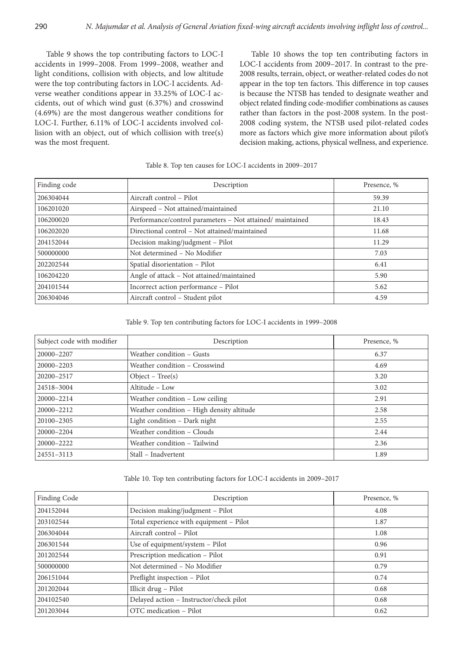Table 9 shows the top contributing factors to LOC-I accidents in 1999–2008. From 1999–2008, weather and light conditions, collision with objects, and low altitude were the top contributing factors in LOC-I accidents. Adverse weather conditions appear in 33.25% of LOC-I accidents, out of which wind gust (6.37%) and crosswind (4.69%) are the most dangerous weather conditions for LOC-I. Further, 6.11% of LOC-I accidents involved collision with an object, out of which collision with tree(s) was the most frequent.

Table 10 shows the top ten contributing factors in LOC-I accidents from 2009–2017. In contrast to the pre-2008 results, terrain, object, or weather-related codes do not appear in the top ten factors. This difference in top causes is because the NTSB has tended to designate weather and object related finding code-modifier combinations as causes rather than factors in the post-2008 system. In the post-2008 coding system, the NTSB used pilot-related codes more as factors which give more information about pilot's decision making, actions, physical wellness, and experience.

#### Table 8. Top ten causes for LOC-I accidents in 2009–2017

| Finding code | Description                                               | Presence, % |
|--------------|-----------------------------------------------------------|-------------|
| 206304044    | Aircraft control – Pilot                                  | 59.39       |
| 106201020    | Airspeed - Not attained/maintained                        | 21.10       |
| 106200020    | Performance/control parameters - Not attained/ maintained | 18.43       |
| 106202020    | Directional control - Not attained/maintained             | 11.68       |
| 204152044    | Decision making/judgment - Pilot                          | 11.29       |
| 500000000    | Not determined - No Modifier                              | 7.03        |
| 202202544    | Spatial disorientation - Pilot                            | 6.41        |
| 106204220    | Angle of attack - Not attained/maintained                 | 5.90        |
| 204101544    | Incorrect action performance - Pilot                      | 5.62        |
| 206304046    | Aircraft control - Student pilot                          | 4.59        |

# Table 9. Top ten contributing factors for LOC-I accidents in 1999–2008

| Subject code with modifier | Description                               | Presence, % |
|----------------------------|-------------------------------------------|-------------|
| 20000-2207                 | Weather condition – Gusts                 | 6.37        |
| 20000-2203                 | Weather condition - Crosswind             | 4.69        |
| 20200-2517                 | $Object - Tree(s)$                        | 3.20        |
| 24518-3004                 | Altitude - Low                            | 3.02        |
| 20000-2214                 | Weather condition - Low ceiling           | 2.91        |
| 20000-2212                 | Weather condition - High density altitude | 2.58        |
| 20100-2305                 | Light condition - Dark night              | 2.55        |
| 20000-2204                 | Weather condition - Clouds                | 2.44        |
| 20000-2222                 | Weather condition - Tailwind              | 2.36        |
| 24551-3113                 | Stall - Inadvertent                       | 1.89        |

#### Table 10. Top ten contributing factors for LOC-I accidents in 2009–2017

| <b>Finding Code</b> | Description                             | Presence, % |
|---------------------|-----------------------------------------|-------------|
| 204152044           | Decision making/judgment - Pilot        | 4.08        |
| 203102544           | Total experience with equipment - Pilot | 1.87        |
| 206304044           | Aircraft control – Pilot                | 1.08        |
| 206301544           | Use of equipment/system - Pilot         | 0.96        |
| 201202544           | Prescription medication - Pilot         | 0.91        |
| 500000000           | Not determined - No Modifier            | 0.79        |
| 206151044           | Preflight inspection - Pilot            | 0.74        |
| 201202044           | Illicit drug - Pilot                    | 0.68        |
| 204102540           | Delayed action - Instructor/check pilot | 0.68        |
| 201203044           | OTC medication - Pilot                  | 0.62        |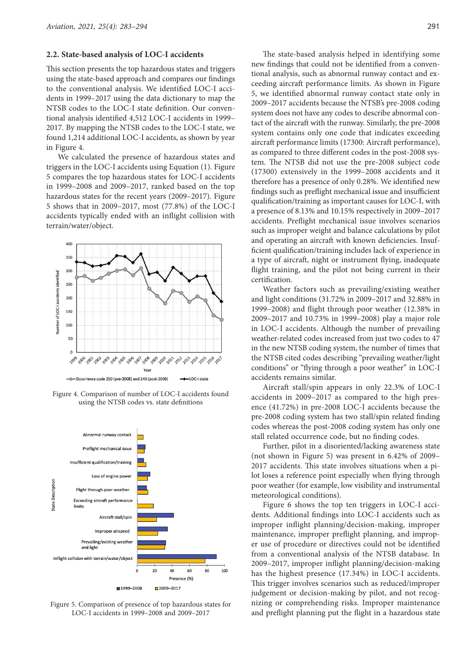#### **2.2. State-based analysis of LOC-I accidents**

This section presents the top hazardous states and triggers using the state-based approach and compares our findings to the conventional analysis. We identified LOC-I accidents in 1999–2017 using the data dictionary to map the NTSB codes to the LOC-I state definition. Our conventional analysis identified 4,512 LOC-I accidents in 1999-2017. By mapping the NTSB codes to the LOC-I state, we found 1,214 additional LOC-I accidents, as shown by year in Figure 4.

We calculated the presence of hazardous states and triggers in the LOC-I accidents using Equation (1). Figure 5 compares the top hazardous states for LOC-I accidents in 1999–2008 and 2009–2017, ranked based on the top hazardous states for the recent years (2009–2017). Figure 5 shows that in 2009–2017, most (77.8%) of the LOC-I accidents typically ended with an inflight collision with terrain/water/object.



Figure 4. Comparison of number of LOC-I accidents found using the NTSB codes vs. state definitions



Figure 5. Comparison of presence of top hazardous states for LOC-I accidents in 1999–2008 and 2009–2017

The state-based analysis helped in identifying some new findings that could not be identified from a conventional analysis, such as abnormal runway contact and exceeding aircraft performance limits. As shown in Figure 5, we identified abnormal runway contact state only in 2009–2017 accidents because the NTSB's pre-2008 coding system does not have any codes to describe abnormal contact of the aircraft with the runway. Similarly, the pre-2008 system contains only one code that indicates exceeding aircraft performance limits (17300: Aircraft performance), as compared to three different codes in the post-2008 system. The NTSB did not use the pre-2008 subject code (17300) extensively in the 1999–2008 accidents and it therefore has a presence of only 0.28%. We identified new findings such as preflight mechanical issue and insufficient qualification/training as important causes for LOC-I, with a presence of 8.13% and 10.15% respectively in 2009–2017 accidents. Preflight mechanical issue involves scenarios such as improper weight and balance calculations by pilot and operating an aircraft with known deficiencies. Insufficient qualification/training includes lack of experience in a type of aircraft, night or instrument flying, inadequate flight training, and the pilot not being current in their certification.

Weather factors such as prevailing/existing weather and light conditions (31.72% in 2009–2017 and 32.88% in 1999–2008) and flight through poor weather  $(12.38\%$  in 2009–2017 and 10.73% in 1999–2008) play a major role in LOC-I accidents. Although the number of prevailing weather-related codes increased from just two codes to 47 in the new NTSB coding system, the number of times that the NTSB cited codes describing "prevailing weather/light conditions" or "flying through a poor weather" in LOC-I accidents remains similar.

Aircraft stall/spin appears in only 22.3% of LOC-I accidents in 2009–2017 as compared to the high presence (41.72%) in pre-2008 LOC-I accidents because the pre-2008 coding system has two stall/spin related finding codes whereas the post-2008 coding system has only one stall related occurrence code, but no finding codes.

Further, pilot in a disoriented/lacking awareness state (not shown in Figure 5) was present in 6.42% of 2009– 2017 accidents. This state involves situations when a pilot loses a reference point especially when flying through poor weather (for example, low visibility and instrumental meteorological conditions).

Figure 6 shows the top ten triggers in LOC-I accidents. Additional findings into LOC-I accidents such as improper inflight planning/decision-making, improper maintenance, improper preflight planning, and improper use of procedure or directives could not be identified from a conventional analysis of the NTSB database. In 2009–2017, improper inflight planning/decision-making has the highest presence (17.34%) in LOC-I accidents. This trigger involves scenarios such as reduced/improper judgement or decision-making by pilot, and not recognizing or comprehending risks. Improper maintenance and preflight planning put the flight in a hazardous state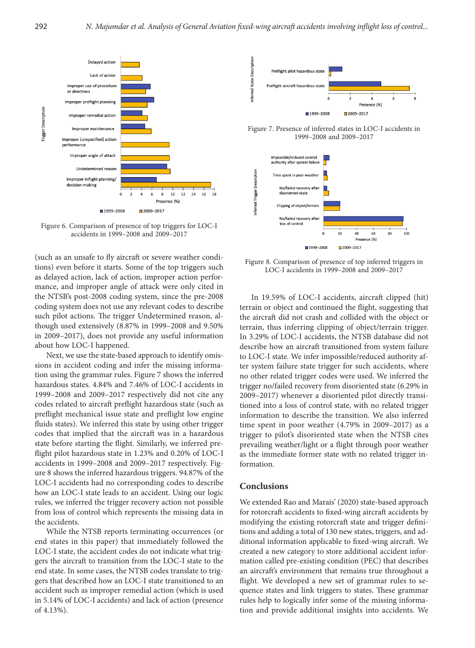

Figure 6. Comparison of presence of top triggers for LOC-I accidents in 1999–2008 and 2009–2017

(such as an unsafe to fly aircraft or severe weather conditions) even before it starts. Some of the top triggers such as delayed action, lack of action, improper action performance, and improper angle of attack were only cited in the NTSB's post-2008 coding system, since the pre-2008 coding system does not use any relevant codes to describe such pilot actions. The trigger Undetermined reason, although used extensively (8.87% in 1999–2008 and 9.50% in 2009–2017), does not provide any useful information about how LOC-I happened.

Next, we use the state-based approach to identify omissions in accident coding and infer the missing information using the grammar rules. Figure 7 shows the inferred hazardous states. 4.84% and 7.46% of LOC-I accidents in 1999–2008 and 2009–2017 respectively did not cite any codes related to aircraft preflight hazardous state (such as preflight mechanical issue state and preflight low engine fluids states). We inferred this state by using other trigger codes that implied that the aircraft was in a hazardous state before starting the flight. Similarly, we inferred preflight pilot hazardous state in 1.23% and 0.20% of LOC-I accidents in 1999–2008 and 2009–2017 respectively. Figure 8 shows the inferred hazardous triggers. 94.87% of the LOC-I accidents had no corresponding codes to describe how an LOC-I state leads to an accident. Using our logic rules, we inferred the trigger recovery action not possible from loss of control which represents the missing data in the accidents.

While the NTSB reports terminating occurrences (or end states in this paper) that immediately followed the LOC-I state, the accident codes do not indicate what triggers the aircraft to transition from the LOC-I state to the end state. In some cases, the NTSB codes translate to triggers that described how an LOC-I state transitioned to an accident such as improper remedial action (which is used in 5.14% of LOC-I accidents) and lack of action (presence of 4.13%).



Figure 7. Presence of inferred states in LOC-I accidents in 1999–2008 and 2009–2017



Figure 8. Comparison of presence of top inferred triggers in LOC-I accidents in 1999–2008 and 2009–2017

In 19.59% of LOC-I accidents, aircraft clipped (hit) terrain or object and continued the flight, suggesting that the aircraft did not crash and collided with the object or terrain, thus inferring clipping of object/terrain trigger. In 3.29% of LOC-I accidents, the NTSB database did not describe how an aircraft transitioned from system failure to LOC-I state. We infer impossible/reduced authority after system failure state trigger for such accidents, where no other related trigger codes were used. We inferred the trigger no/failed recovery from disoriented state (6.29% in 2009–2017) whenever a disoriented pilot directly transitioned into a loss of control state, with no related trigger information to describe the transition. We also inferred time spent in poor weather (4.79% in 2009–2017) as a trigger to pilot's disoriented state when the NTSB cites prevailing weather/light or a flight through poor weather as the immediate former state with no related trigger information.

# **Conclusions**

We extended Rao and Marais' (2020) state-based approach for rotorcraft accidents to fixed-wing aircraft accidents by modifying the existing rotorcraft state and trigger definitions and adding a total of 130 new states, triggers, and additional information applicable to fixed-wing aircraft. We created a new category to store additional accident information called pre-existing condition (PEC) that describes an aircraft's environment that remains true throughout a flight. We developed a new set of grammar rules to sequence states and link triggers to states. These grammar rules help to logically infer some of the missing information and provide additional insights into accidents. We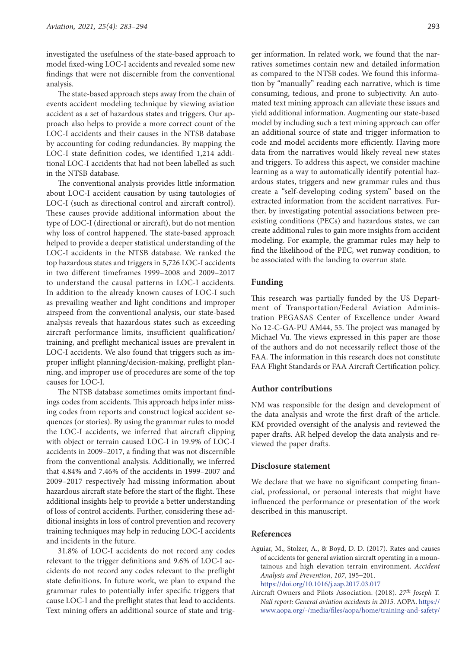investigated the usefulness of the state-based approach to model fixed-wing LOC-I accidents and revealed some new findings that were not discernible from the conventional analysis.

The state-based approach steps away from the chain of events accident modeling technique by viewing aviation accident as a set of hazardous states and triggers. Our approach also helps to provide a more correct count of the LOC-I accidents and their causes in the NTSB database by accounting for coding redundancies. By mapping the LOC-I state definition codes, we identified 1,214 additional LOC-I accidents that had not been labelled as such in the NTSB database.

The conventional analysis provides little information about LOC-I accident causation by using tautologies of LOC-I (such as directional control and aircraft control). These causes provide additional information about the type of LOC-I (directional or aircraft), but do not mention why loss of control happened. The state-based approach helped to provide a deeper statistical understanding of the LOC-I accidents in the NTSB database. We ranked the top hazardous states and triggers in 5,726 LOC-I accidents in two different timeframes 1999–2008 and 2009–2017 to understand the causal patterns in LOC-I accidents. In addition to the already known causes of LOC-I such as prevailing weather and light conditions and improper airspeed from the conventional analysis, our state-based analysis reveals that hazardous states such as exceeding aircraft performance limits, insufficient qualification/ training, and preflight mechanical issues are prevalent in LOC-I accidents. We also found that triggers such as improper inflight planning/decision-making, preflight planning, and improper use of procedures are some of the top causes for LOC-I.

The NTSB database sometimes omits important findings codes from accidents. This approach helps infer missing codes from reports and construct logical accident sequences (or stories). By using the grammar rules to model the LOC-I accidents, we inferred that aircraft clipping with object or terrain caused LOC-I in 19.9% of LOC-I accidents in 2009–2017, a finding that was not discernible from the conventional analysis. Additionally, we inferred that 4.84% and 7.46% of the accidents in 1999–2007 and 2009–2017 respectively had missing information about hazardous aircraft state before the start of the flight. These additional insights help to provide a better understanding of loss of control accidents. Further, considering these additional insights in loss of control prevention and recovery training techniques may help in reducing LOC-I accidents and incidents in the future.

31.8% of LOC-I accidents do not record any codes relevant to the trigger definitions and 9.6% of LOC-I accidents do not record any codes relevant to the preflight state definitions. In future work, we plan to expand the grammar rules to potentially infer specific triggers that cause LOC-I and the preflight states that lead to accidents. Text mining offers an additional source of state and trig-

ger information. In related work, we found that the narratives sometimes contain new and detailed information as compared to the NTSB codes. We found this information by "manually" reading each narrative, which is time consuming, tedious, and prone to subjectivity. An automated text mining approach can alleviate these issues and yield additional information. Augmenting our state-based model by including such a text mining approach can offer an additional source of state and trigger information to code and model accidents more efficiently. Having more data from the narratives would likely reveal new states and triggers. To address this aspect, we consider machine learning as a way to automatically identify potential hazardous states, triggers and new grammar rules and thus create a "self-developing coding system" based on the extracted information from the accident narratives. Further, by investigating potential associations between preexisting conditions (PECs) and hazardous states, we can create additional rules to gain more insights from accident modeling. For example, the grammar rules may help to find the likelihood of the PEC, wet runway condition, to be associated with the landing to overrun state.

### **Funding**

This research was partially funded by the US Department of Transportation/Federal Aviation Administration PEGASAS Center of Excellence under Award No 12-C-GA-PU AM44, 55. The project was managed by Michael Vu. The views expressed in this paper are those of the authors and do not necessarily reflect those of the FAA. The information in this research does not constitute FAA Flight Standards or FAA Aircraft Certification policy.

#### **Author contributions**

NM was responsible for the design and development of the data analysis and wrote the first draft of the article. KM provided oversight of the analysis and reviewed the paper drafts. AR helped develop the data analysis and reviewed the paper drafts.

#### **Disclosure statement**

We declare that we have no significant competing financial, professional, or personal interests that might have influenced the performance or presentation of the work described in this manuscript.

#### **References**

- Aguiar, M., Stolzer, A., & Boyd, D. D. (2017). Rates and causes of accidents for general aviation aircraft operating in a mountainous and high elevation terrain environment. *Accident Analysis and Prevention*, *107*, 195-201. <https://doi.org/10.1016/j.aap.2017.03.017>
- Aircraft Owners and Pilots Association. (2018). *27th Joseph T. Nall report: General aviation accidents in 2015*. AOPA. [https://](https://www.aopa.org/-/media/files/aopa/home/training-and-safety/nall-report/27thnallreport2018.pdf?la=en&hash=C52F88B38FD95CB7C0A43F3B587A12E2692A8502) [www.aopa.org/-/media/files/aopa/home/training-and-safety/](https://www.aopa.org/-/media/files/aopa/home/training-and-safety/nall-report/27thnallreport2018.pdf?la=en&hash=C52F88B38FD95CB7C0A43F3B587A12E2692A8502)